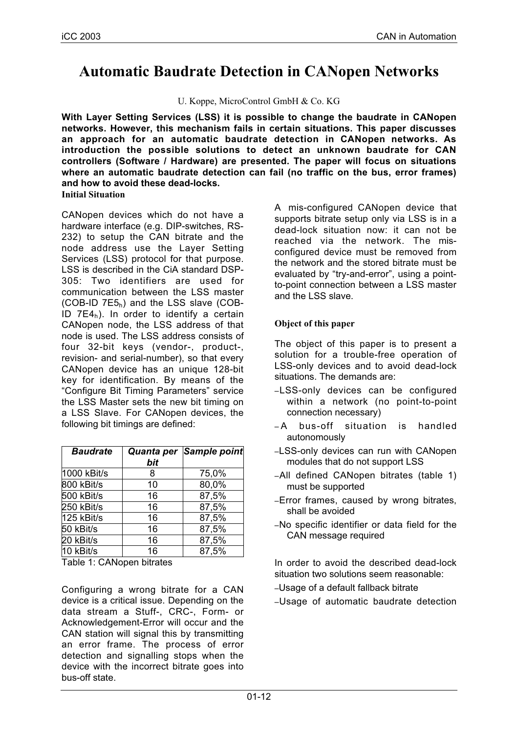# **Automatic Baudrate Detection in CANopen Networks**

U. Koppe, MicroControl GmbH & Co. KG

**With Layer Setting Services (LSS) it is possible to change the baudrate in CANopen networks. However, this mechanism fails in certain situations. This paper discusses an approach for an automatic baudrate detection in CANopen networks. As introduction the possible solutions to detect an unknown baudrate for CAN controllers (Software / Hardware) are presented. The paper will focus on situations where an automatic baudrate detection can fail (no traffic on the bus, error frames) and how to avoid these dead-locks. Initial Situation**

CANopen devices which do not have a hardware interface (e.g. DIP-switches, RS-232) to setup the CAN bitrate and the node address use the Layer Setting Services (LSS) protocol for that purpose. LSS is described in the CiA standard DSP-305: Two identifiers are used for communication between the LSS master  $(COB$ -ID  $7E5<sub>h</sub>$ ) and the LSS slave  $(COB$ -ID  $7E4<sub>h</sub>$ ). In order to identify a certain CANopen node, the LSS address of that node is used. The LSS address consists of four 32-bit keys (vendor-, product-, revision- and serial-number), so that every CANopen device has an unique 128-bit key for identification. By means of the "Configure Bit Timing Parameters" service the LSS Master sets the new bit timing on a LSS Slave. For CANopen devices, the following bit timings are defined:

| <b>Baudrate</b> | bit | Quanta per Sample point |
|-----------------|-----|-------------------------|
| 1000 kBit/s     | 8   | 75,0%                   |
| 800 kBit/s      | 10  | 80,0%                   |
| 500 kBit/s      | 16  | 87,5%                   |
| 250 kBit/s      | 16  | 87,5%                   |
| 125 kBit/s      | 16  | 87,5%                   |
| 50 kBit/s       | 16  | 87,5%                   |
| 20 kBit/s       | 16  | 87,5%                   |
| 10 kBit/s       | 16  | 87,5%                   |

Table 1: CANopen bitrates

Configuring a wrong bitrate for a CAN device is a critical issue. Depending on the data stream a Stuff-, CRC-, Form- or Acknowledgement-Error will occur and the CAN station will signal this by transmitting an error frame. The process of error detection and signalling stops when the device with the incorrect bitrate goes into bus-off state.

A mis-configured CANopen device that supports bitrate setup only via LSS is in a dead-lock situation now: it can not be reached via the network. The misconfigured device must be removed from the network and the stored bitrate must be evaluated by "try-and-error", using a pointto-point connection between a LSS master and the LSS slave.

# **Object of this paper**

The object of this paper is to present a solution for a trouble-free operation of LSS-only devices and to avoid dead-lock situations. The demands are:

- –LSS-only devices can be configured within a network (no point-to-point connection necessary)
- A bus-off situation is handled autonomously
- –LSS-only devices can run with CANopen modules that do not support LSS
- –All defined CANopen bitrates (table 1) must be supported
- –Error frames, caused by wrong bitrates, shall be avoided
- –No specific identifier or data field for the CAN message required

In order to avoid the described dead-lock situation two solutions seem reasonable:

- –Usage of a default fallback bitrate
- –Usage of automatic baudrate detection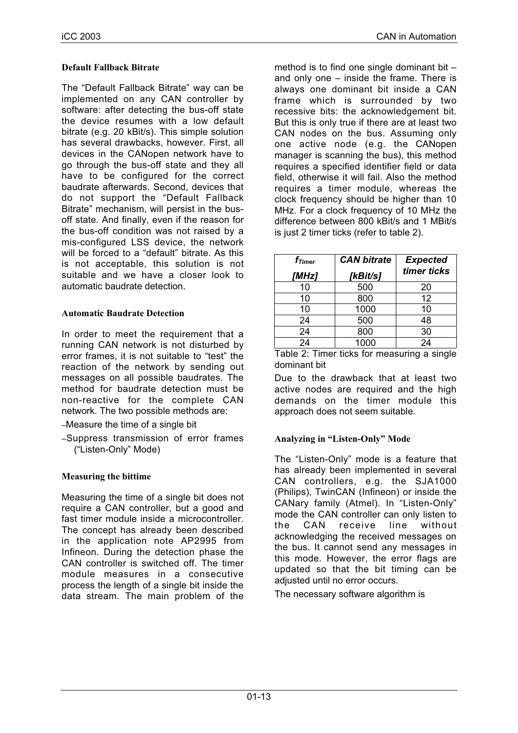## **Default Fallback Bitrate**

The "Default Fallback Bitrate" way can be implemented on any CAN controller by software: after detecting the bus-off state the device resumes with a low default bitrate (e.g. 20 kBit/s). This simple solution has several drawbacks, however. First, all devices in the CANopen network have to go through the bus-off state and they all have to be configured for the correct baudrate afterwards. Second, devices that do not support the "Default Fallback Bitrate" mechanism, will persist in the busoff state. And finally, even if the reason for the bus-off condition was not raised by a mis-configured LSS device, the network will be forced to a "default" bitrate. As this is not acceptable, this solution is not suitable and we have a closer look to automatic baudrate detection.

## **Automatic Baudrate Detection**

In order to meet the requirement that a running CAN network is not disturbed by error frames, it is not suitable to "test" the reaction of the network by sending out messages on all possible baudrates. The method for baudrate detection must be non-reactive for the complete CAN network. The two possible methods are:

- –Measure the time of a single bit
- –Suppress transmission of error frames ("Listen-Only" Mode)

# **Measuring the bittime**

Measuring the time of a single bit does not require a CAN controller, but a good and fast timer module inside a microcontroller. The concept has already been described in the application note AP2995 from Infineon. During the detection phase the CAN controller is switched off. The timer module measures in a consecutive process the length of a single bit inside the data stream. The main problem of the

method is to find one single dominant bit  $$ and only one – inside the frame. There is always one dominant bit inside a CAN frame which is surrounded by two recessive bits: the acknowledgement bit. But this is only true if there are at least two CAN nodes on the bus. Assuming only one active node (e.g. the CANopen manager is scanning the bus), this method requires a specified identifier field or data field, otherwise it will fail. Also the method requires a timer module, whereas the clock frequency should be higher than 10 MHz. For a clock frequency of 10 MHz the difference between 800 kBit/s and 1 MBit/s is just 2 timer ticks (refer to table 2).

| $f_{Timer}$<br>[MHz] | <b>CAN bitrate</b><br>[kBit/s] | <b>Expected</b><br>timer ticks |
|----------------------|--------------------------------|--------------------------------|
| 10                   | 500                            | 20                             |
| 10                   | 800                            | 12                             |
| 10                   | 1000                           | 10                             |
| 24                   | 500                            | 48                             |
| 24                   | 800                            | 30                             |
| 24                   | 1000                           | 24                             |

Table 2: Timer ticks for measuring a single dominant bit

Due to the drawback that at least two active nodes are required and the high demands on the timer module this approach does not seem suitable.

#### **Analyzing in "Listen-Only" Mode**

The "Listen-Only" mode is a feature that has already been implemented in several CAN controllers, e.g. the SJA1000 (Philips), TwinCAN (Infineon) or inside the CANary family (Atmel). In "Listen-Only" mode the CAN controller can only listen to the CAN receive line without acknowledging the received messages on the bus. It cannot send any messages in this mode. However, the error flags are updated so that the bit timing can be adjusted until no error occurs.

The necessary software algorithm is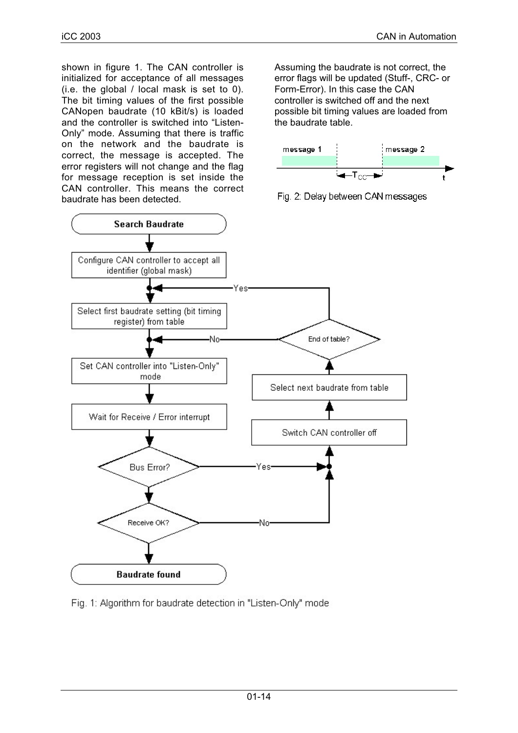shown in figure 1. The CAN controller is initialized for acceptance of all messages (i.e. the global / local mask is set to 0). The bit timing values of the first possible CANopen baudrate (10 kBit/s) is loaded and the controller is switched into "Listen-Only" mode. Assuming that there is traffic on the network and the baudrate is correct, the message is accepted. The error registers will not change and the flag for message reception is set inside the CAN controller. This means the correct baudrate has been detected.

Assuming the baudrate is not correct, the error flags will be updated (Stuff-, CRC- or Form-Error). In this case the CAN controller is switched off and the next possible bit timing values are loaded from the baudrate table.







Fig. 1: Algorithm for baudrate detection in "Listen-Only" mode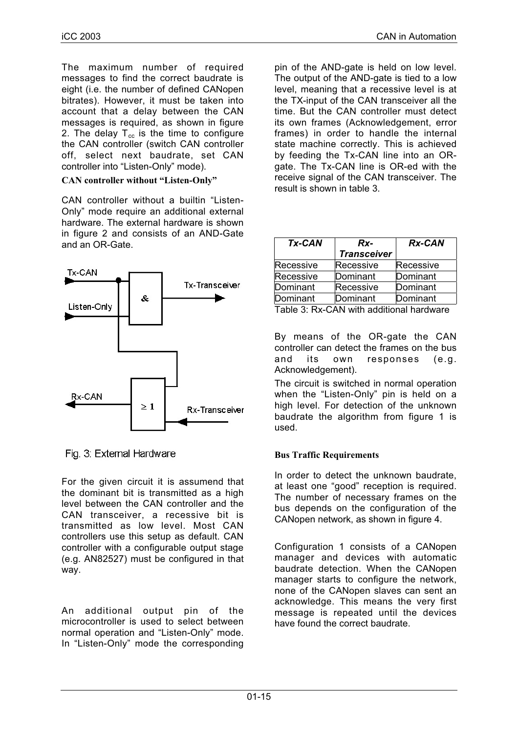The maximum number of required messages to find the correct baudrate is eight (i.e. the number of defined CANopen bitrates). However, it must be taken into account that a delay between the CAN messages is required, as shown in figure 2. The delay  $T_{cc}$  is the time to configure the CAN controller (switch CAN controller off, select next baudrate, set CAN controller into "Listen-Only" mode).

### **CAN controller without "Listen-Only"**

CAN controller without a builtin "Listen-Only" mode require an additional external hardware. The external hardware is shown in figure 2 and consists of an AND-Gate and an OR-Gate.



Fig. 3: External Hardware

For the given circuit it is assumend that the dominant bit is transmitted as a high level between the CAN controller and the CAN transceiver, a recessive bit is transmitted as low level. Most CAN controllers use this setup as default. CAN controller with a configurable output stage (e.g. AN82527) must be configured in that way.

An additional output pin of the microcontroller is used to select between normal operation and "Listen-Only" mode. In "Listen-Only" mode the corresponding pin of the AND-gate is held on low level. The output of the AND-gate is tied to a low level, meaning that a recessive level is at the TX-input of the CAN transceiver all the time. But the CAN controller must detect its own frames (Acknowledgement, error frames) in order to handle the internal state machine correctly. This is achieved by feeding the Tx-CAN line into an ORgate. The Tx-CAN line is OR-ed with the receive signal of the CAN transceiver. The result is shown in table 3.

| <b>Tx-CAN</b>                            | Rx-                | <b>Rx-CAN</b> |  |
|------------------------------------------|--------------------|---------------|--|
|                                          | <b>Transceiver</b> |               |  |
| Recessive                                | Recessive          | Recessive     |  |
| Recessive                                | Dominant           | Dominant      |  |
| Dominant                                 | Recessive          | Dominant      |  |
| Dominant                                 | Dominant           | Dominant      |  |
| Table 3: Rx-CAN with additional hardware |                    |               |  |

By means of the OR-gate the CAN controller can detect the frames on the bus and its own responses (e.g. Acknowledgement).

The circuit is switched in normal operation when the "Listen-Only" pin is held on a high level. For detection of the unknown baudrate the algorithm from figure 1 is used.

# **Bus Traffic Requirements**

In order to detect the unknown baudrate, at least one "good" reception is required. The number of necessary frames on the bus depends on the configuration of the CANopen network, as shown in figure 4.

Configuration 1 consists of a CANopen manager and devices with automatic baudrate detection. When the CANopen manager starts to configure the network, none of the CANopen slaves can sent an acknowledge. This means the very first message is repeated until the devices have found the correct baudrate.